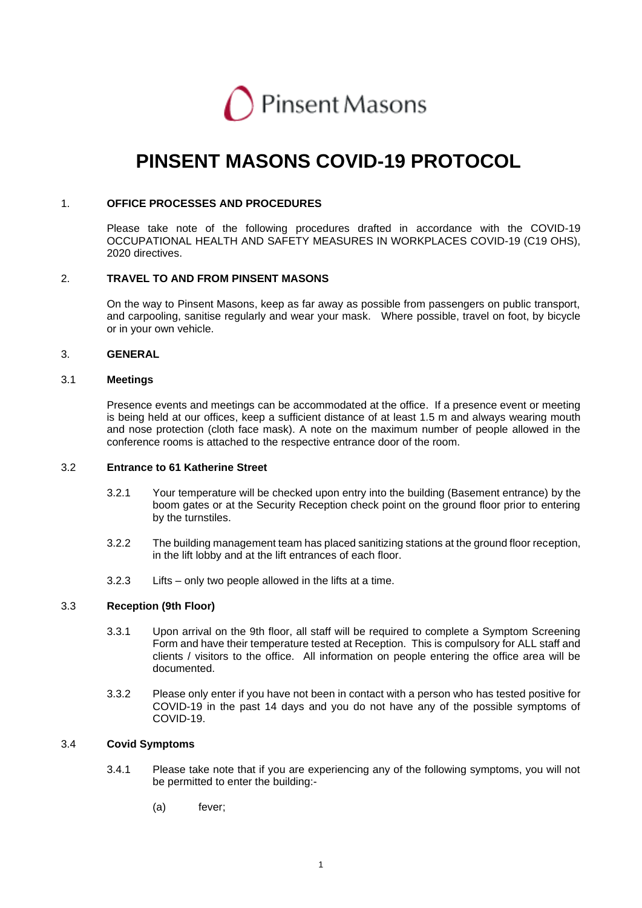

# **PINSENT MASONS COVID-19 PROTOCOL**

#### 1. **OFFICE PROCESSES AND PROCEDURES**

Please take note of the following procedures drafted in accordance with the COVID-19 OCCUPATIONAL HEALTH AND SAFETY MEASURES IN WORKPLACES COVID-19 (C19 OHS), 2020 directives.

# 2. **TRAVEL TO AND FROM PINSENT MASONS**

On the way to Pinsent Masons, keep as far away as possible from passengers on public transport, and carpooling, sanitise regularly and wear your mask. Where possible, travel on foot, by bicycle or in your own vehicle.

#### 3. **GENERAL**

#### 3.1 **Meetings**

Presence events and meetings can be accommodated at the office. If a presence event or meeting is being held at our offices, keep a sufficient distance of at least 1.5 m and always wearing mouth and nose protection (cloth face mask). A note on the maximum number of people allowed in the conference rooms is attached to the respective entrance door of the room.

#### 3.2 **Entrance to 61 Katherine Street**

- 3.2.1 Your temperature will be checked upon entry into the building (Basement entrance) by the boom gates or at the Security Reception check point on the ground floor prior to entering by the turnstiles.
- 3.2.2 The building management team has placed sanitizing stations at the ground floor reception, in the lift lobby and at the lift entrances of each floor.
- 3.2.3 Lifts only two people allowed in the lifts at a time.

#### 3.3 **Reception (9th Floor)**

- 3.3.1 Upon arrival on the 9th floor, all staff will be required to complete a Symptom Screening Form and have their temperature tested at Reception. This is compulsory for ALL staff and clients / visitors to the office. All information on people entering the office area will be documented.
- 3.3.2 Please only enter if you have not been in contact with a person who has tested positive for COVID-19 in the past 14 days and you do not have any of the possible symptoms of COVID-19.

# 3.4 **Covid Symptoms**

- 3.4.1 Please take note that if you are experiencing any of the following symptoms, you will not be permitted to enter the building:-
	- (a) fever;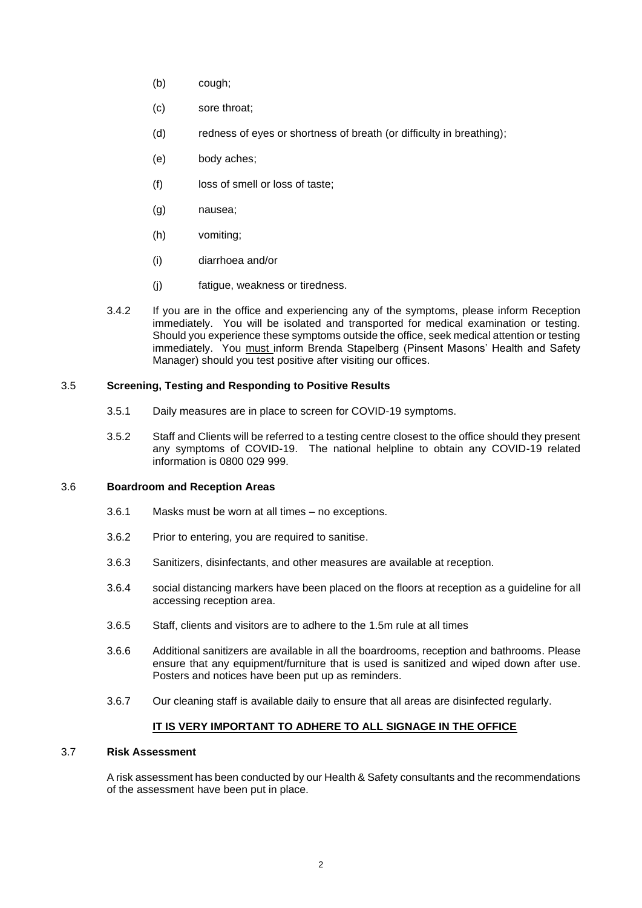- (b) cough;
- (c) sore throat;
- (d) redness of eyes or shortness of breath (or difficulty in breathing);
- (e) body aches;
- (f) loss of smell or loss of taste;
- (g) nausea;
- (h) vomiting;
- (i) diarrhoea and/or
- (j) fatigue, weakness or tiredness.
- 3.4.2 If you are in the office and experiencing any of the symptoms, please inform Reception immediately. You will be isolated and transported for medical examination or testing. Should you experience these symptoms outside the office, seek medical attention or testing immediately. You must inform Brenda Stapelberg (Pinsent Masons' Health and Safety Manager) should you test positive after visiting our offices.

## 3.5 **Screening, Testing and Responding to Positive Results**

- 3.5.1 Daily measures are in place to screen for COVID-19 symptoms.
- 3.5.2 Staff and Clients will be referred to a testing centre closest to the office should they present any symptoms of COVID-19. The national helpline to obtain any COVID-19 related information is 0800 029 999.

#### 3.6 **Boardroom and Reception Areas**

- 3.6.1 Masks must be worn at all times no exceptions.
- 3.6.2 Prior to entering, you are required to sanitise.
- 3.6.3 Sanitizers, disinfectants, and other measures are available at reception.
- 3.6.4 social distancing markers have been placed on the floors at reception as a guideline for all accessing reception area.
- 3.6.5 Staff, clients and visitors are to adhere to the 1.5m rule at all times
- 3.6.6 Additional sanitizers are available in all the boardrooms, reception and bathrooms. Please ensure that any equipment/furniture that is used is sanitized and wiped down after use. Posters and notices have been put up as reminders.
- 3.6.7 Our cleaning staff is available daily to ensure that all areas are disinfected regularly.

# **IT IS VERY IMPORTANT TO ADHERE TO ALL SIGNAGE IN THE OFFICE**

# 3.7 **Risk Assessment**

A risk assessment has been conducted by our Health & Safety consultants and the recommendations of the assessment have been put in place.